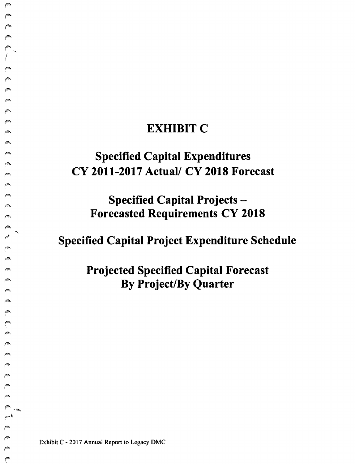### **EXHIBIT C**

# $\cap$  Specified Capital Expenditures CY 2011-2017 Actual/ CY 2018 Forecast

Specified Capital Projects -**Forecasted Requirements CY 2018** 

Specified Capital Project Expenditure Schedule

Projected Specified Capital Forecast By Project/By Quarter

Exhibit C - 2017 Annual Report to Legacy DMC

 $\triangle$ 

 $\sqrt{2}$  $\mathbb{C}$ 

 $\curvearrowright$  $\curvearrowright$ 

 $\bigcap_{n=1}^{\infty}$ 

 $\sqrt{2}$ **Alla**  $\curvearrowright$  $\sqrt{2}$  $\curvearrowright$ **Company** 

*('Th-* ..,

 $\sqrt{2}$ Ø  $\sim$  $\triangleright$  $\sim$  $\mathcal{C}$  $\mathcal{P}$  $\mathcal{O}(\mathcal{A})$  $\mathbb{C}$  $\sqrt{2}$ 

> *(I".,.,,..,\_*   $\sim^{\rm t}$

 $\begin{array}{c}\n\circ \\
\circ \\
\circ\n\end{array}$ 

 $\triangle$ 

 $\mathbb{C}$ p.  $\epsilon^{\rm SM}$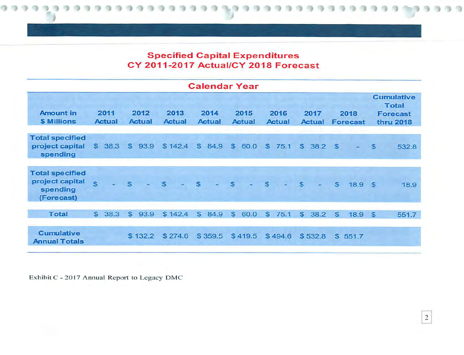#### Specified Capital Expenditures CY 2011-2017 Actual/CY 2018 Forecast

| <b>Calendar Year</b>                                                |                       |      |                       |         |                       |  |                       |         |                       |         |                       |         |                       |         |                         |       |                                                                          |       |
|---------------------------------------------------------------------|-----------------------|------|-----------------------|---------|-----------------------|--|-----------------------|---------|-----------------------|---------|-----------------------|---------|-----------------------|---------|-------------------------|-------|--------------------------------------------------------------------------|-------|
| <b>Amount in</b><br>\$ Millions                                     | 2011<br><b>Actual</b> |      | 2012<br><b>Actual</b> |         | 2013<br><b>Actual</b> |  | 2014<br><b>Actual</b> |         | 2015<br><b>Actual</b> |         | 2016<br><b>Actual</b> |         | 2017<br><b>Actual</b> |         | 2018<br><b>Forecast</b> |       | <b>Cumulative</b><br><b>Total</b><br><b>Forecast</b><br><b>thru 2018</b> |       |
| <b>Total specified</b><br>project capital<br>spending               | $\mathfrak{S}$        | 38.3 | $\mathfrak{S}$        | 93.9    | \$142.4               |  | \$                    | 84.9    | \$                    | 60.0    | $\mathfrak{s}$        | 75.1    | S                     | 38.2    | <b>S</b>                |       | $\mathfrak{s}$                                                           | 532.8 |
| <b>Total specified</b><br>project capital<br>spending<br>(Forecast) | $\mathbf{s}$          |      | $\mathsf{s}$          |         | S                     |  | \$                    |         | $\mathbb{S}$          |         | \$                    |         | $\mathbb{S}$          |         | $\mathfrak{S}$          | 18.9  | - \$                                                                     | 18.9  |
| <b>Total</b>                                                        | $\mathbb{S}$          | 38.3 | S.                    | 93.9    | \$142.4               |  | S                     | 84.9    | $\mathbb{S}$          | 60.0    | \$                    | 75.1    | S                     | 38.2    | $\mathbf{s}$            | 18.9  | $\mathbb{S}$                                                             | 551.7 |
| <b>Cumulative</b><br><b>Annual Totals</b>                           |                       |      |                       | \$132.2 | \$274.6               |  |                       | \$359.5 |                       | \$419.5 |                       | \$494.6 |                       | \$532.8 | \$                      | 551.7 |                                                                          |       |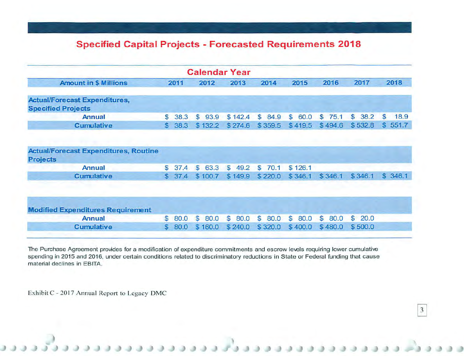### Specified Capital Projects - Forecasted Requirements 2018

| <b>Calendar Year</b> |                                              |                                                                    |                        |                      |                      |                      |                      |                       |  |  |  |  |
|----------------------|----------------------------------------------|--------------------------------------------------------------------|------------------------|----------------------|----------------------|----------------------|----------------------|-----------------------|--|--|--|--|
| 2011                 |                                              | 2012                                                               | 2013                   | 2014                 | 2015                 | 2016                 | 2017                 | 2018                  |  |  |  |  |
|                      |                                              |                                                                    |                        |                      |                      |                      |                      |                       |  |  |  |  |
|                      | 38.3                                         | $\mathbb{S}$<br>93.9                                               | \$142.4                | $\mathbb{S}$<br>84.9 | $\mathbb{S}$<br>60.0 | 75.1<br>$\mathbb{S}$ | $\mathbb{S}$<br>38.2 | $\mathbb{S}$<br>18.9  |  |  |  |  |
|                      | 38.3                                         | \$132.2                                                            | \$274.6                | \$359.5              | \$419.5              | \$494.6              | \$532.8              | 551.7<br>$\mathbf{s}$ |  |  |  |  |
|                      |                                              |                                                                    |                        |                      |                      |                      |                      |                       |  |  |  |  |
|                      | 37.4                                         | S.<br>63.3                                                         | $\mathfrak{s}$<br>49.2 | $\mathbb{S}$<br>70.1 | \$126.1              |                      |                      |                       |  |  |  |  |
|                      |                                              | \$100.7                                                            | \$149.9                | \$220.0              | \$346.1              | \$346.1              | \$346.1              | \$346.1               |  |  |  |  |
|                      |                                              |                                                                    |                        |                      |                      |                      |                      |                       |  |  |  |  |
|                      | 80.0                                         | $\mathbb{S}$<br>80.0                                               | <sup>\$</sup><br>80.0  | <b>S</b><br>80.0     | $\mathbb{S}$<br>80.0 | $\mathbb{S}$<br>80.0 | $\mathbb{S}$<br>20.0 |                       |  |  |  |  |
|                      | 80.0                                         | \$160.0                                                            | \$240.0                | \$320.0              | \$400.0              | \$480.0              | \$500.0              |                       |  |  |  |  |
|                      | <b>Actual/Forecast Expenditures, Routine</b> | $\mathbb{S}$<br>s.<br>$\mathbb{S}$<br>\$37.4<br>$\mathbb{S}$<br>S. |                        |                      |                      |                      |                      |                       |  |  |  |  |

The Purchase Agreement provides for a modification of expenditure commitments and escrow levels requiring lower cumulative spending in 2015 and 2016, under certain conditions related to discriminatory reductions in State or Federal funding that cause material declines in EBITA.

 $\mathfrak{Z}$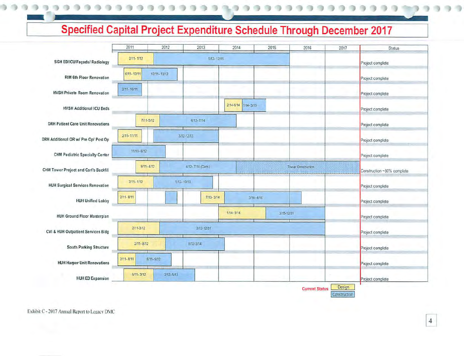## **Specified Capital Project Expenditure Schedule Through December 2017**